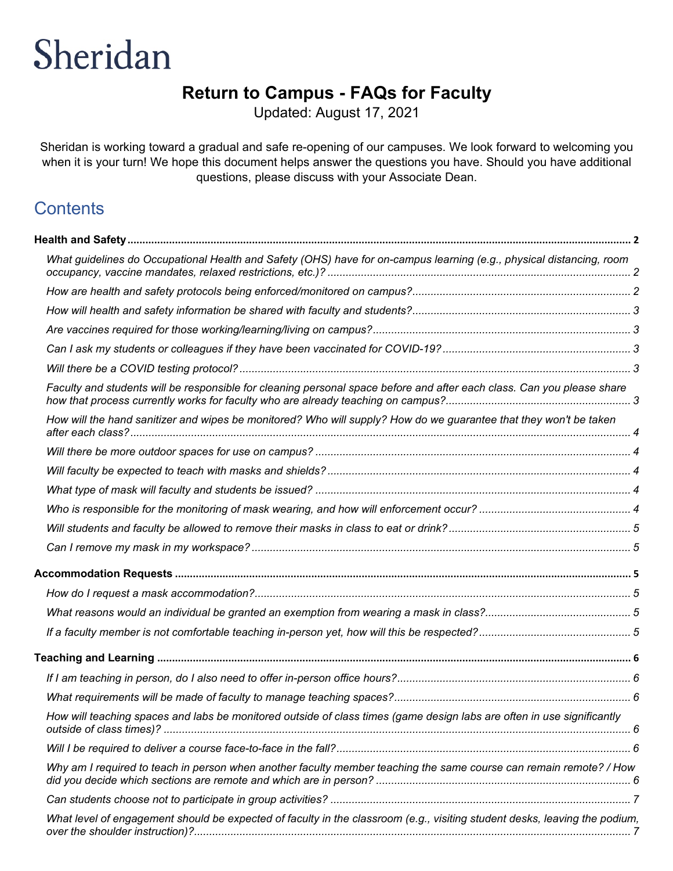# **Return to Campus - FAQs for Faculty**

Updated: August 17, 2021

Sheridan is working toward a gradual and safe re-opening of our campuses. We look forward to welcoming you when it is your turn! We hope this document helps answer the questions you have. Should you have additional questions, please discuss with your Associate Dean.

## **Contents**

| What guidelines do Occupational Health and Safety (OHS) have for on-campus learning (e.g., physical distancing, room       |  |
|----------------------------------------------------------------------------------------------------------------------------|--|
|                                                                                                                            |  |
|                                                                                                                            |  |
|                                                                                                                            |  |
|                                                                                                                            |  |
|                                                                                                                            |  |
| Faculty and students will be responsible for cleaning personal space before and after each class. Can you please share     |  |
| How will the hand sanitizer and wipes be monitored? Who will supply? How do we guarantee that they won't be taken          |  |
|                                                                                                                            |  |
|                                                                                                                            |  |
|                                                                                                                            |  |
|                                                                                                                            |  |
|                                                                                                                            |  |
|                                                                                                                            |  |
|                                                                                                                            |  |
|                                                                                                                            |  |
|                                                                                                                            |  |
|                                                                                                                            |  |
|                                                                                                                            |  |
|                                                                                                                            |  |
|                                                                                                                            |  |
| How will teaching spaces and labs be monitored outside of class times (game design labs are often in use significantly     |  |
|                                                                                                                            |  |
| Why am I required to teach in person when another faculty member teaching the same course can remain remote? / How         |  |
|                                                                                                                            |  |
| What level of engagement should be expected of faculty in the classroom (e.g., visiting student desks, leaving the podium, |  |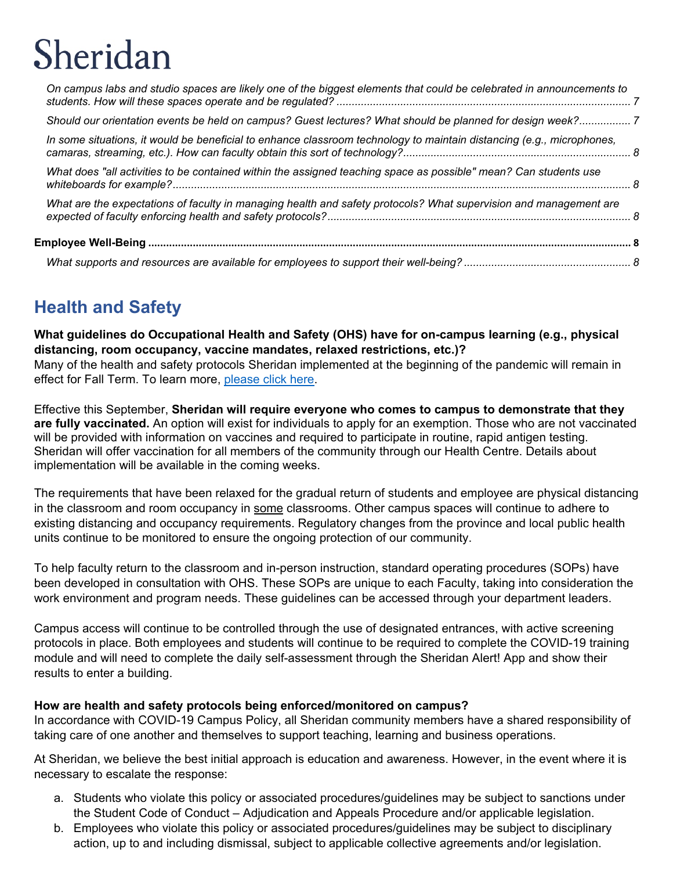| On campus labs and studio spaces are likely one of the biggest elements that could be celebrated in announcements to  |  |
|-----------------------------------------------------------------------------------------------------------------------|--|
| Should our orientation events be held on campus? Guest lectures? What should be planned for design week?7             |  |
| In some situations, it would be beneficial to enhance classroom technology to maintain distancing (e.g., microphones, |  |
| What does "all activities to be contained within the assigned teaching space as possible" mean? Can students use      |  |
| What are the expectations of faculty in managing health and safety protocols? What supervision and management are     |  |
|                                                                                                                       |  |
|                                                                                                                       |  |

# <span id="page-1-0"></span>**Health and Safety**

<span id="page-1-1"></span>**What guidelines do Occupational Health and Safety (OHS) have for on-campus learning (e.g., physical distancing, room occupancy, vaccine mandates, relaxed restrictions, etc.)?**  Many of the health and safety protocols Sheridan implemented at the beginning of the pandemic will remain in effect for Fall Term. To learn more, [please click here.](https://www.sheridancollege.ca/covid-19/return-fall-2021)

Effective this September, **Sheridan will require everyone who comes to campus to demonstrate that they are fully vaccinated.** An option will exist for individuals to apply for an exemption. Those who are not vaccinated will be provided with information on vaccines and required to participate in routine, rapid antigen testing. Sheridan will offer vaccination for all members of the community through our Health Centre. Details about implementation will be available in the coming weeks.

The requirements that have been relaxed for the gradual return of students and employee are physical distancing in the classroom and room occupancy in some classrooms. Other campus spaces will continue to adhere to existing distancing and occupancy requirements. Regulatory changes from the province and local public health units continue to be monitored to ensure the ongoing protection of our community.

To help faculty return to the classroom and in-person instruction, standard operating procedures (SOPs) have been developed in consultation with OHS. These SOPs are unique to each Faculty, taking into consideration the work environment and program needs. These guidelines can be accessed through your department leaders.

Campus access will continue to be controlled through the use of designated entrances, with active screening protocols in place. Both employees and students will continue to be required to complete the COVID-19 training module and will need to complete the daily self-assessment through the Sheridan Alert! App and show their results to enter a building.

## <span id="page-1-2"></span>**How are health and safety protocols being enforced/monitored on campus?**

In accordance with COVID-19 Campus Policy, all Sheridan community members have a shared responsibility of taking care of one another and themselves to support teaching, learning and business operations.

At Sheridan, we believe the best initial approach is education and awareness. However, in the event where it is necessary to escalate the response:

- a. Students who violate this policy or associated procedures/guidelines may be subject to sanctions under the Student Code of Conduct – Adjudication and Appeals Procedure and/or applicable legislation.
- b. Employees who violate this policy or associated procedures/guidelines may be subject to disciplinary action, up to and including dismissal, subject to applicable collective agreements and/or legislation.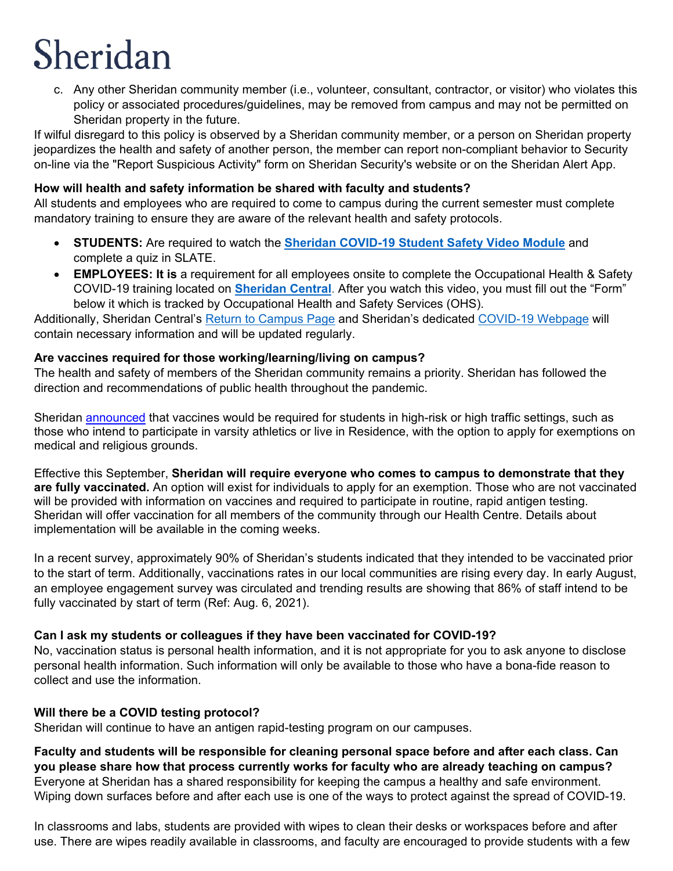c. Any other Sheridan community member (i.e., volunteer, consultant, contractor, or visitor) who violates this policy or associated procedures/guidelines, may be removed from campus and may not be permitted on Sheridan property in the future.

If wilful disregard to this policy is observed by a Sheridan community member, or a person on Sheridan property jeopardizes the health and safety of another person, the member can report non-compliant behavior to Security on-line via the "Report Suspicious Activity" form on Sheridan Security's website or on the Sheridan Alert App.

## <span id="page-2-0"></span>**How will health and safety information be shared with faculty and students?**

All students and employees who are required to come to campus during the current semester must complete mandatory training to ensure they are aware of the relevant health and safety protocols.

- **STUDENTS:** Are required to watch the **[Sheridan COVID-19 Student Safety Video Module](https://youtu.be/fDDhrJxLDOY)** and complete a quiz in SLATE.
- **EMPLOYEES: It is** a requirement for all employees onsite to complete the Occupational Health & Safety COVID-19 training located on **[Sheridan Central](https://central.sheridancollege.ca/occupational-health-and-safety)**. After you watch this video, you must fill out the "Form" below it which is tracked by Occupational Health and Safety Services (OHS).

Additionally, Sheridan Central's [Return to Campus Page](https://central.sheridancollege.ca/return-campus-employees) and Sheridan's dedicated [COVID-19](https://www.sheridancollege.ca/covid-19) Webpage will contain necessary information and will be updated regularly.

## <span id="page-2-1"></span>**Are vaccines required for those working/learning/living on campus?**

The health and safety of members of the Sheridan community remains a priority. Sheridan has followed the direction and recommendations of public health throughout the pandemic.

Sheridan [announced](https://www.sheridancollege.ca/newsroom/news-releases/2021/08/sheridan-to-require-vaccinations-for-all-students-living-in-residence-this-fall) that vaccines would be required for students in high-risk or high traffic settings, such as those who intend to participate in varsity athletics or live in Residence, with the option to apply for exemptions on medical and religious grounds.

Effective this September, **Sheridan will require everyone who comes to campus to demonstrate that they are fully vaccinated.** An option will exist for individuals to apply for an exemption. Those who are not vaccinated will be provided with information on vaccines and required to participate in routine, rapid antigen testing. Sheridan will offer vaccination for all members of the community through our Health Centre. Details about implementation will be available in the coming weeks.

In a recent survey, approximately 90% of Sheridan's students indicated that they intended to be vaccinated prior to the start of term. Additionally, vaccinations rates in our local communities are rising every day. In early August, an employee engagement survey was circulated and trending results are showing that 86% of staff intend to be fully vaccinated by start of term (Ref: Aug. 6, 2021).

## <span id="page-2-2"></span>**Can I ask my students or colleagues if they have been vaccinated for COVID-19?**

No, vaccination status is personal health information, and it is not appropriate for you to ask anyone to disclose personal health information. Such information will only be available to those who have a bona-fide reason to collect and use the information.

## <span id="page-2-3"></span>**Will there be a COVID testing protocol?**

Sheridan will continue to have an antigen rapid-testing program on our campuses.

<span id="page-2-4"></span>**Faculty and students will be responsible for cleaning personal space before and after each class. Can you please share how that process currently works for faculty who are already teaching on campus?** Everyone at Sheridan has a shared responsibility for keeping the campus a healthy and safe environment. Wiping down surfaces before and after each use is one of the ways to protect against the spread of COVID-19.

In classrooms and labs, students are provided with wipes to clean their desks or workspaces before and after use. There are wipes readily available in classrooms, and faculty are encouraged to provide students with a few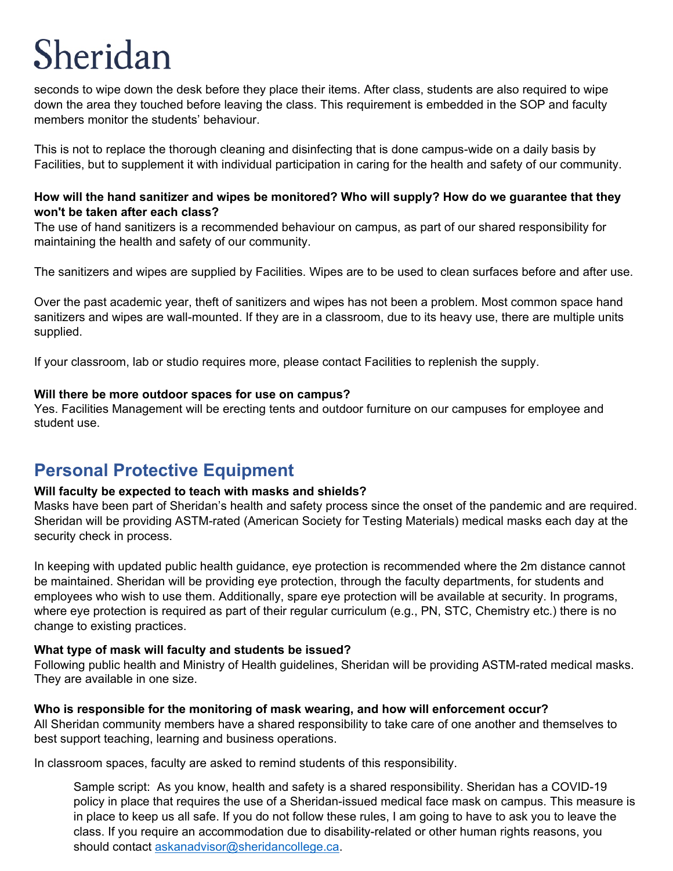seconds to wipe down the desk before they place their items. After class, students are also required to wipe down the area they touched before leaving the class. This requirement is embedded in the SOP and faculty members monitor the students' behaviour.

This is not to replace the thorough cleaning and disinfecting that is done campus-wide on a daily basis by Facilities, but to supplement it with individual participation in caring for the health and safety of our community.

#### <span id="page-3-0"></span>**How will the hand sanitizer and wipes be monitored? Who will supply? How do we guarantee that they won't be taken after each class?**

The use of hand sanitizers is a recommended behaviour on campus, as part of our shared responsibility for maintaining the health and safety of our community.

The sanitizers and wipes are supplied by Facilities. Wipes are to be used to clean surfaces before and after use.

Over the past academic year, theft of sanitizers and wipes has not been a problem. Most common space hand sanitizers and wipes are wall-mounted. If they are in a classroom, due to its heavy use, there are multiple units supplied.

If your classroom, lab or studio requires more, please contact Facilities to replenish the supply.

#### <span id="page-3-1"></span>**Will there be more outdoor spaces for use on campus?**

Yes. Facilities Management will be erecting tents and outdoor furniture on our campuses for employee and student use.

## **Personal Protective Equipment**

#### <span id="page-3-2"></span>**Will faculty be expected to teach with masks and shields?**

Masks have been part of Sheridan's health and safety process since the onset of the pandemic and are required. Sheridan will be providing ASTM-rated (American Society for Testing Materials) medical masks each day at the security check in process.

In keeping with updated public health guidance, eye protection is recommended where the 2m distance cannot be maintained. Sheridan will be providing eye protection, through the faculty departments, for students and employees who wish to use them. Additionally, spare eye protection will be available at security. In programs, where eye protection is required as part of their regular curriculum (e.g., PN, STC, Chemistry etc.) there is no change to existing practices.

#### <span id="page-3-3"></span>**What type of mask will faculty and students be issued?**

Following public health and Ministry of Health guidelines, Sheridan will be providing ASTM-rated medical masks. They are available in one size.

#### <span id="page-3-4"></span>**Who is responsible for the monitoring of mask wearing, and how will enforcement occur?**

All Sheridan community members have a shared responsibility to take care of one another and themselves to best support teaching, learning and business operations.

In classroom spaces, faculty are asked to remind students of this responsibility.

Sample script: As you know, health and safety is a shared responsibility. Sheridan has a COVID-19 policy in place that requires the use of a Sheridan-issued medical face mask on campus. This measure is in place to keep us all safe. If you do not follow these rules, I am going to have to ask you to leave the class. If you require an accommodation due to disability-related or other human rights reasons, you should contact [askanadvisor@sheridancollege.ca.](mailto:askanadvisor@sheridancollege.ca)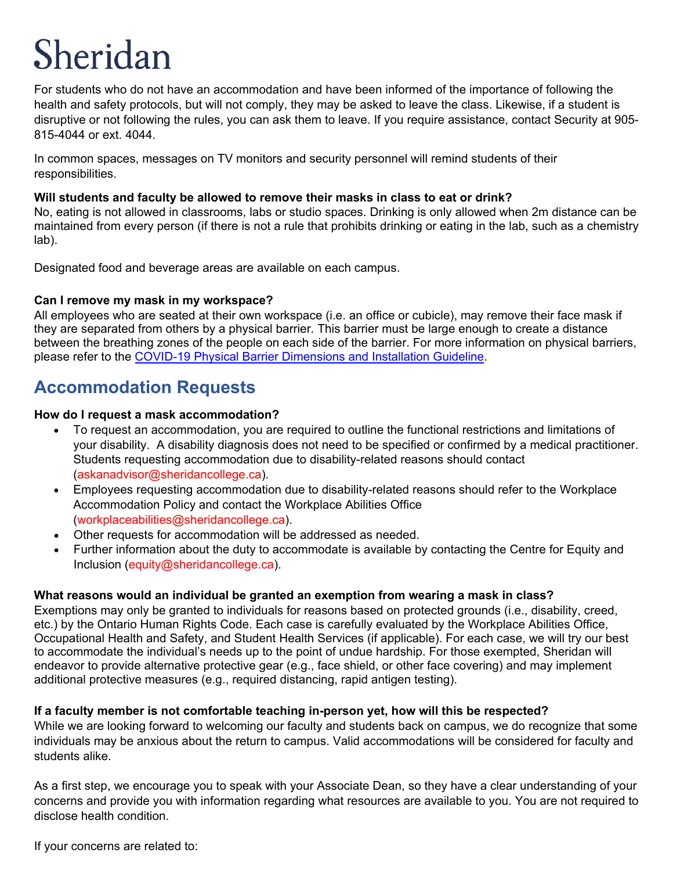For students who do not have an accommodation and have been informed of the importance of following the health and safety protocols, but will not comply, they may be asked to leave the class. Likewise, if a student is disruptive or not following the rules, you can ask them to leave. If you require assistance, contact Security at 905- 815-4044 or ext. 4044.

In common spaces, messages on TV monitors and security personnel will remind students of their responsibilities.

#### <span id="page-4-0"></span>**Will students and faculty be allowed to remove their masks in class to eat or drink?**

No, eating is not allowed in classrooms, labs or studio spaces. Drinking is only allowed when 2m distance can be maintained from every person (if there is not a rule that prohibits drinking or eating in the lab, such as a chemistry lab).

Designated food and beverage areas are available on each campus.

## <span id="page-4-1"></span>**Can I remove my mask in my workspace?**

All employees who are seated at their own workspace (i.e. an office or cubicle), may remove their face mask if they are separated from others by a physical barrier. This barrier must be large enough to create a distance between the breathing zones of the people on each side of the barrier. For more information on physical barriers, please refer to the [COVID-19 Physical Barrier Dimensions and Installation Guideline.](https://central.sheridancollege.ca/sites/default/files/2021-03/covid-19%20plexiglass_0806%20-%20revised%20march%2023%2C%202021.pdf)

## <span id="page-4-2"></span>**Accommodation Requests**

#### <span id="page-4-3"></span>**How do I request a mask accommodation?**

- To request an accommodation, you are required to outline the functional restrictions and limitations of your disability. A disability diagnosis does not need to be specified or confirmed by a medical practitioner. Students requesting accommodation due to disability-related reasons should contact [\(askanadvisor@sheridancollege.ca\)](mailto:askanadvisor@sheridancollege.ca).
- Employees requesting accommodation due to disability-related reasons should refer to the Workplace Accommodation Policy and contact the Workplace Abilities Office [\(workplaceabilities@sheridancollege.ca\)](mailto:workplaceabilities@sheridancollege.ca).
- Other requests for accommodation will be addressed as needed.
- Further information about the duty to accommodate is available by contacting the Centre for Equity and Inclusion [\(equity@sheridancollege.ca\)](mailto:equity@sheridancollege.ca).

## <span id="page-4-4"></span>**What reasons would an individual be granted an exemption from wearing a mask in class?**

Exemptions may only be granted to individuals for reasons based on protected grounds (i.e., disability, creed, etc.) by the Ontario Human Rights Code. Each case is carefully evaluated by the Workplace Abilities Office, Occupational Health and Safety, and Student Health Services (if applicable). For each case, we will try our best to accommodate the individual's needs up to the point of undue hardship. For those exempted, Sheridan will endeavor to provide alternative protective gear (e.g., face shield, or other face covering) and may implement additional protective measures (e.g., required distancing, rapid antigen testing).

## <span id="page-4-5"></span>**If a faculty member is not comfortable teaching in-person yet, how will this be respected?**

While we are looking forward to welcoming our faculty and students back on campus, we do recognize that some individuals may be anxious about the return to campus. Valid accommodations will be considered for faculty and students alike.

As a first step, we encourage you to speak with your Associate Dean, so they have a clear understanding of your concerns and provide you with information regarding what resources are available to you. You are not required to disclose health condition.

If your concerns are related to: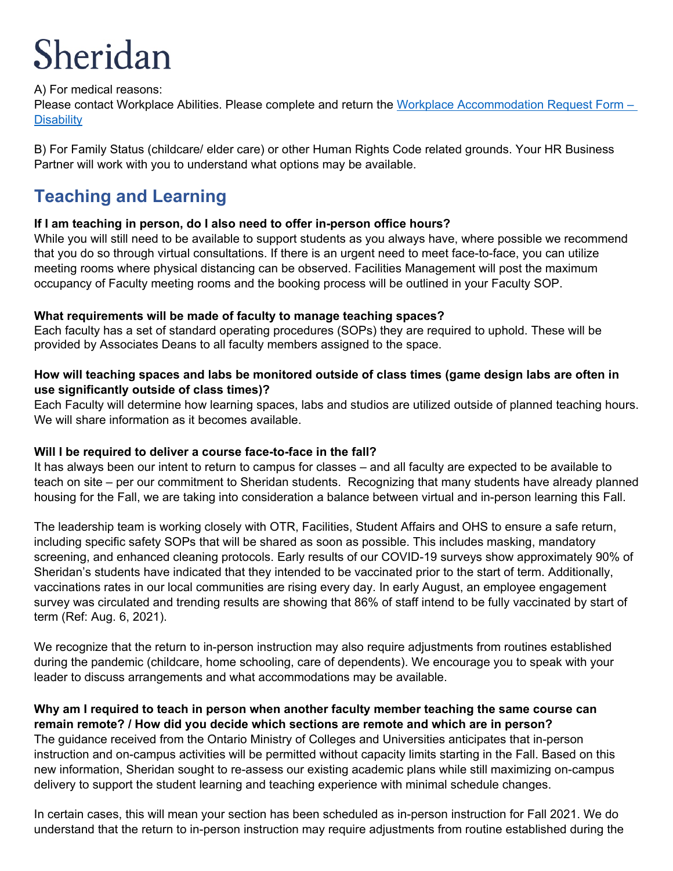## A) For medical reasons:

Please contact Workplace Abilities. Please complete and return the [Workplace Accommodation Request Form –](https://central.sheridancollege.ca/sites/default/files/inline-files/FINAL%20DRAFT%20Workplace%20Accommodation%20Request%20Form%20-%20Disability%20%28COVID-19%20Related%29.pdf) **[Disability](https://central.sheridancollege.ca/sites/default/files/inline-files/FINAL%20DRAFT%20Workplace%20Accommodation%20Request%20Form%20-%20Disability%20%28COVID-19%20Related%29.pdf)** 

B) For Family Status (childcare/ elder care) or other Human Rights Code related grounds. Your HR Business Partner will work with you to understand what options may be available.

## <span id="page-5-0"></span>**Teaching and Learning**

## <span id="page-5-1"></span>**If I am teaching in person, do I also need to offer in-person office hours?**

While you will still need to be available to support students as you always have, where possible we recommend that you do so through virtual consultations. If there is an urgent need to meet face-to-face, you can utilize meeting rooms where physical distancing can be observed. Facilities Management will post the maximum occupancy of Faculty meeting rooms and the booking process will be outlined in your Faculty SOP.

## <span id="page-5-2"></span>**What requirements will be made of faculty to manage teaching spaces?**

Each faculty has a set of standard operating procedures (SOPs) they are required to uphold. These will be provided by Associates Deans to all faculty members assigned to the space.

## <span id="page-5-3"></span>**How will teaching spaces and labs be monitored outside of class times (game design labs are often in use significantly outside of class times)?**

Each Faculty will determine how learning spaces, labs and studios are utilized outside of planned teaching hours. We will share information as it becomes available.

## <span id="page-5-4"></span>**Will I be required to deliver a course face-to-face in the fall?**

It has always been our intent to return to campus for classes – and all faculty are expected to be available to teach on site – per our commitment to Sheridan students. Recognizing that many students have already planned housing for the Fall, we are taking into consideration a balance between virtual and in-person learning this Fall.

The leadership team is working closely with OTR, Facilities, Student Affairs and OHS to ensure a safe return, including specific safety SOPs that will be shared as soon as possible. This includes masking, mandatory screening, and enhanced cleaning protocols. Early results of our COVID-19 surveys show approximately 90% of Sheridan's students have indicated that they intended to be vaccinated prior to the start of term. Additionally, vaccinations rates in our local communities are rising every day. In early August, an employee engagement survey was circulated and trending results are showing that 86% of staff intend to be fully vaccinated by start of term (Ref: Aug. 6, 2021).

We recognize that the return to in-person instruction may also require adjustments from routines established during the pandemic (childcare, home schooling, care of dependents). We encourage you to speak with your leader to discuss arrangements and what accommodations may be available.

#### <span id="page-5-5"></span>**Why am I required to teach in person when another faculty member teaching the same course can remain remote? / How did you decide which sections are remote and which are in person?**

The guidance received from the Ontario Ministry of Colleges and Universities anticipates that in-person instruction and on-campus activities will be permitted without capacity limits starting in the Fall. Based on this new information, Sheridan sought to re-assess our existing academic plans while still maximizing on-campus delivery to support the student learning and teaching experience with minimal schedule changes.

In certain cases, this will mean your section has been scheduled as in-person instruction for Fall 2021. We do understand that the return to in-person instruction may require adjustments from routine established during the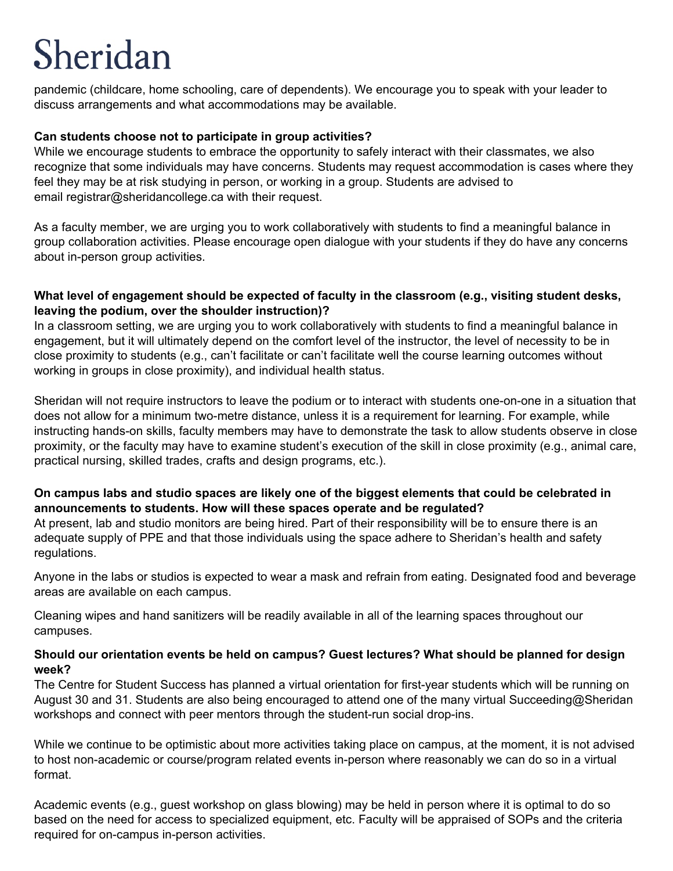pandemic (childcare, home schooling, care of dependents). We encourage you to speak with your leader to discuss arrangements and what accommodations may be available.

#### <span id="page-6-0"></span>**Can students choose not to participate in group activities?**

While we encourage students to embrace the opportunity to safely interact with their classmates, we also recognize that some individuals may have concerns. Students may request accommodation is cases where they feel they may be at risk studying in person, or working in a group. Students are advised to email registrar@sheridancollege.ca with their request.

As a faculty member, we are urging you to work collaboratively with students to find a meaningful balance in group collaboration activities. Please encourage open dialogue with your students if they do have any concerns about in-person group activities.

#### <span id="page-6-1"></span>**What level of engagement should be expected of faculty in the classroom (e.g., visiting student desks, leaving the podium, over the shoulder instruction)?**

In a classroom setting, we are urging you to work collaboratively with students to find a meaningful balance in engagement, but it will ultimately depend on the comfort level of the instructor, the level of necessity to be in close proximity to students (e.g., can't facilitate or can't facilitate well the course learning outcomes without working in groups in close proximity), and individual health status.

Sheridan will not require instructors to leave the podium or to interact with students one-on-one in a situation that does not allow for a minimum two-metre distance, unless it is a requirement for learning. For example, while instructing hands-on skills, faculty members may have to demonstrate the task to allow students observe in close proximity, or the faculty may have to examine student's execution of the skill in close proximity (e.g., animal care, practical nursing, skilled trades, crafts and design programs, etc.).

## <span id="page-6-2"></span>**On campus labs and studio spaces are likely one of the biggest elements that could be celebrated in announcements to students. How will these spaces operate and be regulated?**

At present, lab and studio monitors are being hired. Part of their responsibility will be to ensure there is an adequate supply of PPE and that those individuals using the space adhere to Sheridan's health and safety regulations.

Anyone in the labs or studios is expected to wear a mask and refrain from eating. Designated food and beverage areas are available on each campus.

Cleaning wipes and hand sanitizers will be readily available in all of the learning spaces throughout our campuses.

#### <span id="page-6-3"></span>**Should our orientation events be held on campus? Guest lectures? What should be planned for design week?**

The Centre for Student Success has planned a virtual orientation for first-year students which will be running on August 30 and 31. Students are also being encouraged to attend one of the many virtual Succeeding@Sheridan workshops and connect with peer mentors through the student-run social drop-ins.

While we continue to be optimistic about more activities taking place on campus, at the moment, it is not advised to host non-academic or course/program related events in-person where reasonably we can do so in a virtual format.

Academic events (e.g., guest workshop on glass blowing) may be held in person where it is optimal to do so based on the need for access to specialized equipment, etc. Faculty will be appraised of SOPs and the criteria required for on-campus in-person activities.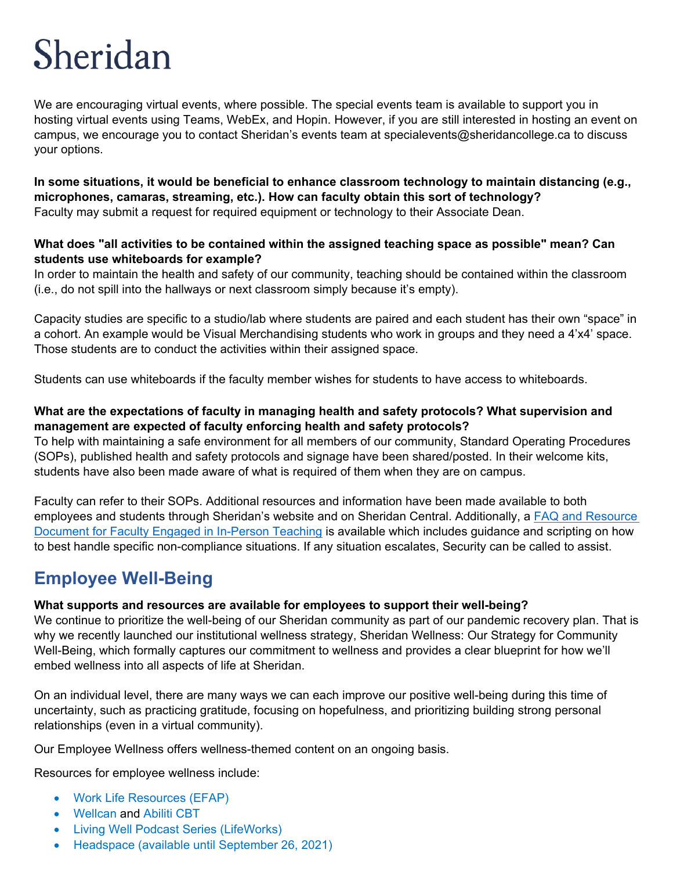We are encouraging virtual events, where possible. The special events team is available to support you in hosting virtual events using Teams, WebEx, and Hopin. However, if you are still interested in hosting an event on campus, we encourage you to contact Sheridan's events team at specialevents@sheridancollege.ca to discuss your options.

<span id="page-7-0"></span>**In some situations, it would be beneficial to enhance classroom technology to maintain distancing (e.g., microphones, camaras, streaming, etc.). How can faculty obtain this sort of technology?** Faculty may submit a request for required equipment or technology to their Associate Dean.

#### <span id="page-7-1"></span>**What does "all activities to be contained within the assigned teaching space as possible" mean? Can students use whiteboards for example?**

In order to maintain the health and safety of our community, teaching should be contained within the classroom (i.e., do not spill into the hallways or next classroom simply because it's empty).

Capacity studies are specific to a studio/lab where students are paired and each student has their own "space" in a cohort. An example would be Visual Merchandising students who work in groups and they need a 4'x4' space. Those students are to conduct the activities within their assigned space.

Students can use whiteboards if the faculty member wishes for students to have access to whiteboards.

## <span id="page-7-2"></span>**What are the expectations of faculty in managing health and safety protocols? What supervision and management are expected of faculty enforcing health and safety protocols?**

To help with maintaining a safe environment for all members of our community, Standard Operating Procedures (SOPs), published health and safety protocols and signage have been shared/posted. In their welcome kits, students have also been made aware of what is required of them when they are on campus.

Faculty can refer to their SOPs. Additional resources and information have been made available to both employees and students through Sheridan's website and on Sheridan Central. Additionally, a [FAQ and Resource](http://central.sheridancollege.ca/sites/default/files/2021-08/faculty_return_to_class_binder_-september_2021.pdf)  Document [for Faculty Engaged in In-Person Teaching](http://central.sheridancollege.ca/sites/default/files/2021-08/faculty_return_to_class_binder_-september_2021.pdf) is available which includes guidance and scripting on how to best handle specific non-compliance situations. If any situation escalates, Security can be called to assist.

# <span id="page-7-3"></span>**Employee Well-Being**

## <span id="page-7-4"></span>**What supports and resources are available for employees to support their well-being?**

We continue to prioritize the well-being of our Sheridan community as part of our pandemic recovery plan. That is why we recently launched our institutional wellness strategy, [Sheridan Wellness: Our Strategy for Community](https://www.sheridancollege.ca/about/administration-governance/institutional-plans/community-wellness-strategy)  [Well-Being,](https://www.sheridancollege.ca/about/administration-governance/institutional-plans/community-wellness-strategy) which formally captures our commitment to wellness and provides a clear blueprint for how we'll embed wellness into all aspects of life at Sheridan.

On an individual level, there are many ways we can each improve our positive well-being during this time of uncertainty, such as practicing gratitude, focusing on hopefulness, and prioritizing building strong personal relationships (even in a virtual community).

Our [Employee Wellness](https://central.sheridancollege.ca/employee-wellness) offers wellness-themed content on an ongoing basis.

Resources for employee wellness include:

- [Work Life Resources](https://www.workhealthlife.com/) [\(EFAP\)](https://central.sheridancollege.ca/employee-assistance)
- [Wellcan](https://wellcan.ca/explore/allCategories) and [Abiliti CBT](https://myicbt.com/home)
- [Living Well Podcast Series](https://www.morneaushepell.com/ca-en/living-well-podcast) (LifeWorks)
- [Headspace](https://central.sheridancollege.ca/sites/default/files/2020-12/Headspace%20FAQ%20Doc.pdf) (available until September 26, 2021)